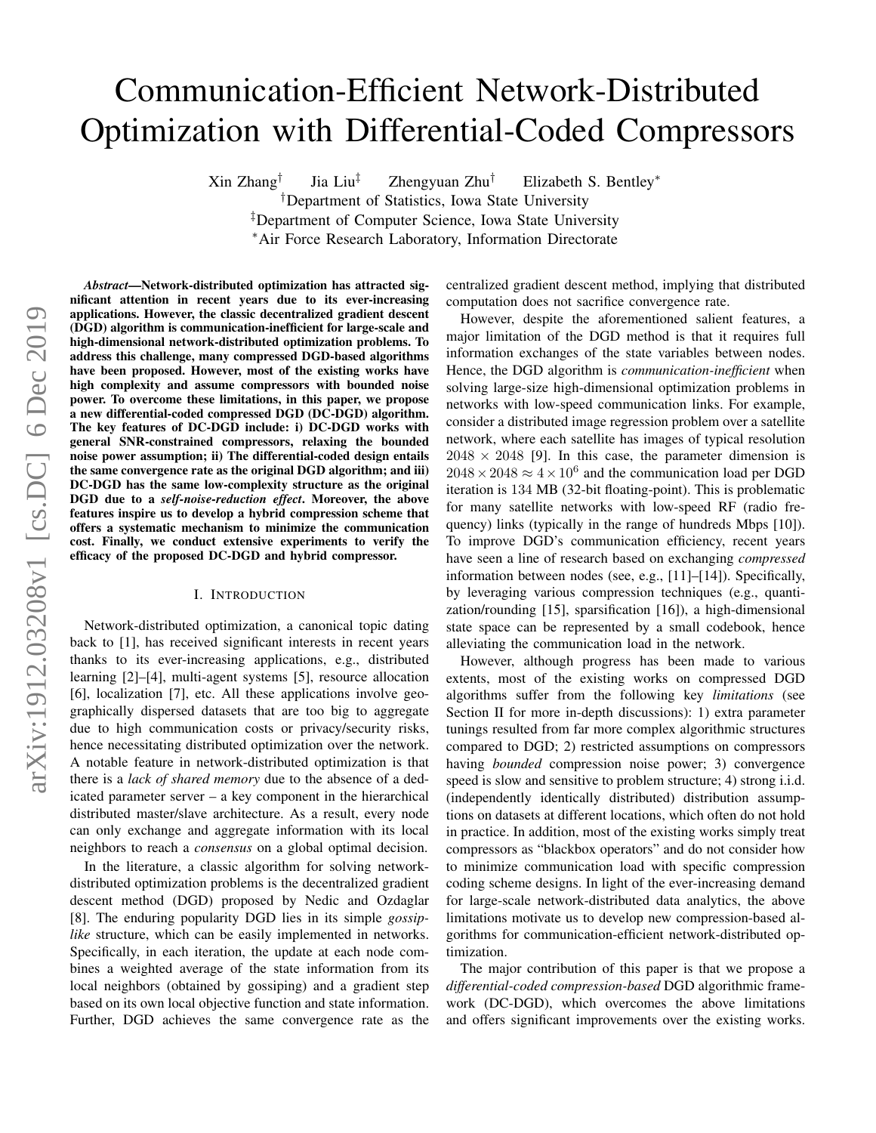# Communication-Efficient Network-Distributed Optimization with Differential-Coded Compressors

Xin Zhang† Jia Liu‡ Zhengyuan Zhu† Elizabeth S. Bentley<sup>∗</sup> †Department of Statistics, Iowa State University ‡Department of Computer Science, Iowa State University <sup>∗</sup>Air Force Research Laboratory, Information Directorate

*Abstract*—Network-distributed optimization has attracted significant attention in recent years due to its ever-increasing applications. However, the classic decentralized gradient descent (DGD) algorithm is communication-inefficient for large-scale and high-dimensional network-distributed optimization problems. To address this challenge, many compressed DGD-based algorithms have been proposed. However, most of the existing works have high complexity and assume compressors with bounded noise power. To overcome these limitations, in this paper, we propose a new differential-coded compressed DGD (DC-DGD) algorithm. The key features of DC-DGD include: i) DC-DGD works with general SNR-constrained compressors, relaxing the bounded noise power assumption; ii) The differential-coded design entails the same convergence rate as the original DGD algorithm; and iii) DC-DGD has the same low-complexity structure as the original DGD due to a *self-noise-reduction effect*. Moreover, the above features inspire us to develop a hybrid compression scheme that offers a systematic mechanism to minimize the communication cost. Finally, we conduct extensive experiments to verify the efficacy of the proposed DC-DGD and hybrid compressor.

#### I. INTRODUCTION

Network-distributed optimization, a canonical topic dating back to [1], has received significant interests in recent years thanks to its ever-increasing applications, e.g., distributed learning [2]–[4], multi-agent systems [5], resource allocation [6], localization [7], etc. All these applications involve geographically dispersed datasets that are too big to aggregate due to high communication costs or privacy/security risks, hence necessitating distributed optimization over the network. A notable feature in network-distributed optimization is that there is a *lack of shared memory* due to the absence of a dedicated parameter server – a key component in the hierarchical distributed master/slave architecture. As a result, every node can only exchange and aggregate information with its local neighbors to reach a *consensus* on a global optimal decision.

In the literature, a classic algorithm for solving networkdistributed optimization problems is the decentralized gradient descent method (DGD) proposed by Nedic and Ozdaglar [8]. The enduring popularity DGD lies in its simple *gossiplike* structure, which can be easily implemented in networks. Specifically, in each iteration, the update at each node combines a weighted average of the state information from its local neighbors (obtained by gossiping) and a gradient step based on its own local objective function and state information. Further, DGD achieves the same convergence rate as the centralized gradient descent method, implying that distributed computation does not sacrifice convergence rate.

However, despite the aforementioned salient features, a major limitation of the DGD method is that it requires full information exchanges of the state variables between nodes. Hence, the DGD algorithm is *communication-inefficient* when solving large-size high-dimensional optimization problems in networks with low-speed communication links. For example, consider a distributed image regression problem over a satellite network, where each satellite has images of typical resolution  $2048 \times 2048$  [9]. In this case, the parameter dimension is  $2048 \times 2048 \approx 4 \times 10^6$  and the communication load per DGD iteration is 134 MB (32-bit floating-point). This is problematic for many satellite networks with low-speed RF (radio frequency) links (typically in the range of hundreds Mbps [10]). To improve DGD's communication efficiency, recent years have seen a line of research based on exchanging *compressed* information between nodes (see, e.g., [11]–[14]). Specifically, by leveraging various compression techniques (e.g., quantization/rounding [15], sparsification [16]), a high-dimensional state space can be represented by a small codebook, hence alleviating the communication load in the network.

However, although progress has been made to various extents, most of the existing works on compressed DGD algorithms suffer from the following key *limitations* (see Section II for more in-depth discussions): 1) extra parameter tunings resulted from far more complex algorithmic structures compared to DGD; 2) restricted assumptions on compressors having *bounded* compression noise power; 3) convergence speed is slow and sensitive to problem structure; 4) strong i.i.d. (independently identically distributed) distribution assumptions on datasets at different locations, which often do not hold in practice. In addition, most of the existing works simply treat compressors as "blackbox operators" and do not consider how to minimize communication load with specific compression coding scheme designs. In light of the ever-increasing demand for large-scale network-distributed data analytics, the above limitations motivate us to develop new compression-based algorithms for communication-efficient network-distributed optimization.

The major contribution of this paper is that we propose a *differential-coded compression-based* DGD algorithmic framework (DC-DGD), which overcomes the above limitations and offers significant improvements over the existing works.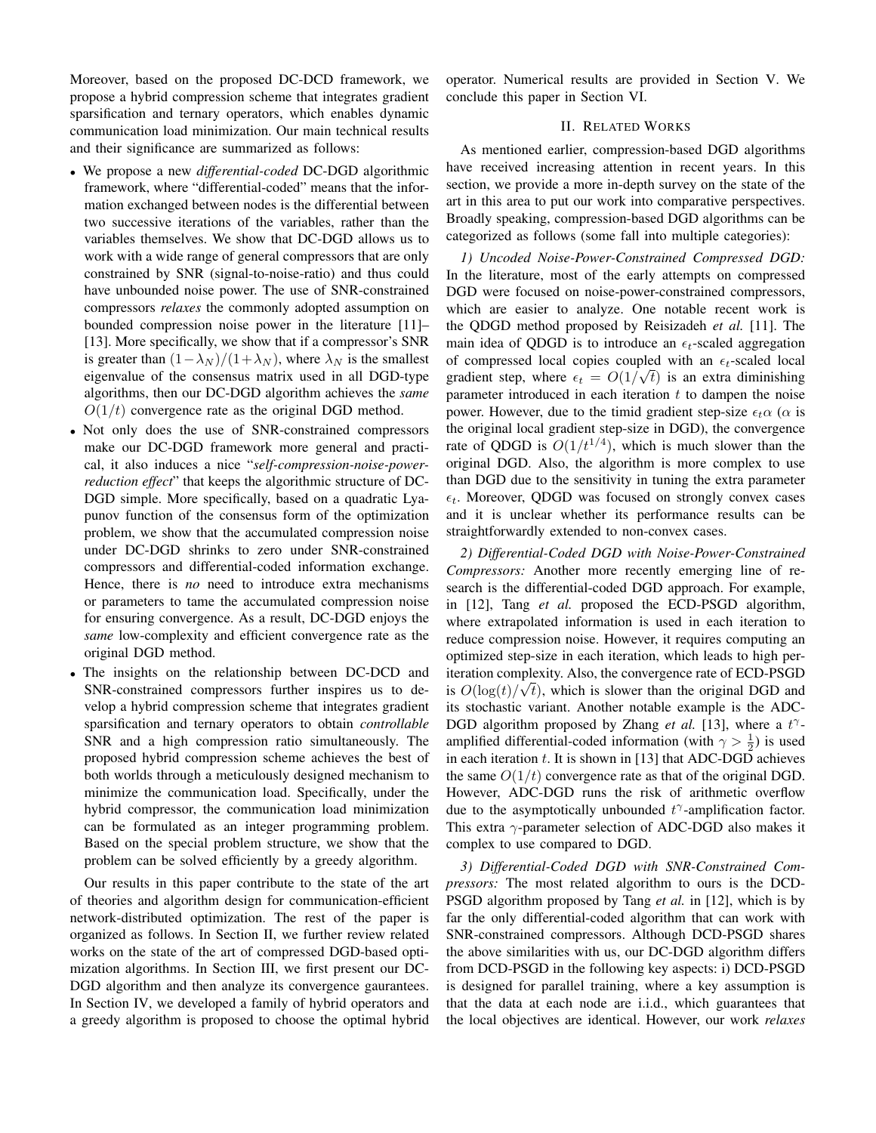Moreover, based on the proposed DC-DCD framework, we propose a hybrid compression scheme that integrates gradient sparsification and ternary operators, which enables dynamic communication load minimization. Our main technical results and their significance are summarized as follows:

- We propose a new *differential-coded* DC-DGD algorithmic framework, where "differential-coded" means that the information exchanged between nodes is the differential between two successive iterations of the variables, rather than the variables themselves. We show that DC-DGD allows us to work with a wide range of general compressors that are only constrained by SNR (signal-to-noise-ratio) and thus could have unbounded noise power. The use of SNR-constrained compressors *relaxes* the commonly adopted assumption on bounded compression noise power in the literature [11]– [13]. More specifically, we show that if a compressor's SNR is greater than  $(1-\lambda_N)/(1+\lambda_N)$ , where  $\lambda_N$  is the smallest eigenvalue of the consensus matrix used in all DGD-type algorithms, then our DC-DGD algorithm achieves the *same*  $O(1/t)$  convergence rate as the original DGD method.
- Not only does the use of SNR-constrained compressors make our DC-DGD framework more general and practical, it also induces a nice "*self-compression-noise-powerreduction effect*" that keeps the algorithmic structure of DC-DGD simple. More specifically, based on a quadratic Lyapunov function of the consensus form of the optimization problem, we show that the accumulated compression noise under DC-DGD shrinks to zero under SNR-constrained compressors and differential-coded information exchange. Hence, there is *no* need to introduce extra mechanisms or parameters to tame the accumulated compression noise for ensuring convergence. As a result, DC-DGD enjoys the *same* low-complexity and efficient convergence rate as the original DGD method.
- The insights on the relationship between DC-DCD and SNR-constrained compressors further inspires us to develop a hybrid compression scheme that integrates gradient sparsification and ternary operators to obtain *controllable* SNR and a high compression ratio simultaneously. The proposed hybrid compression scheme achieves the best of both worlds through a meticulously designed mechanism to minimize the communication load. Specifically, under the hybrid compressor, the communication load minimization can be formulated as an integer programming problem. Based on the special problem structure, we show that the problem can be solved efficiently by a greedy algorithm.

Our results in this paper contribute to the state of the art of theories and algorithm design for communication-efficient network-distributed optimization. The rest of the paper is organized as follows. In Section II, we further review related works on the state of the art of compressed DGD-based optimization algorithms. In Section III, we first present our DC-DGD algorithm and then analyze its convergence gaurantees. In Section IV, we developed a family of hybrid operators and a greedy algorithm is proposed to choose the optimal hybrid

operator. Numerical results are provided in Section V. We conclude this paper in Section VI.

## II. RELATED WORKS

As mentioned earlier, compression-based DGD algorithms have received increasing attention in recent years. In this section, we provide a more in-depth survey on the state of the art in this area to put our work into comparative perspectives. Broadly speaking, compression-based DGD algorithms can be categorized as follows (some fall into multiple categories):

*1) Uncoded Noise-Power-Constrained Compressed DGD:* In the literature, most of the early attempts on compressed DGD were focused on noise-power-constrained compressors, which are easier to analyze. One notable recent work is the QDGD method proposed by Reisizadeh *et al.* [11]. The main idea of QDGD is to introduce an  $\epsilon_t$ -scaled aggregation of compressed local copies coupled with an  $\epsilon_t$ -scaled local gradient step, where  $\epsilon_t = O(1/\sqrt{t})$  is an extra diminishing parameter introduced in each iteration  $t$  to dampen the noise power. However, due to the timid gradient step-size  $\epsilon_t \alpha$  ( $\alpha$  is the original local gradient step-size in DGD), the convergence rate of QDGD is  $O(1/t^{1/4})$ , which is much slower than the original DGD. Also, the algorithm is more complex to use than DGD due to the sensitivity in tuning the extra parameter  $\epsilon_t$ . Moreover, QDGD was focused on strongly convex cases and it is unclear whether its performance results can be straightforwardly extended to non-convex cases.

*2) Differential-Coded DGD with Noise-Power-Constrained Compressors:* Another more recently emerging line of research is the differential-coded DGD approach. For example, in [12], Tang *et al.* proposed the ECD-PSGD algorithm, where extrapolated information is used in each iteration to reduce compression noise. However, it requires computing an optimized step-size in each iteration, which leads to high periteration complexity. Also, the convergence rate of ECD-PSGD √ is  $O(log(t)/\sqrt{t})$ , which is slower than the original DGD and its stochastic variant. Another notable example is the ADC-DGD algorithm proposed by Zhang *et al.* [13], where a  $t^{\gamma}$ amplified differential-coded information (with  $\gamma > \frac{1}{2}$ ) is used in each iteration  $t$ . It is shown in [13] that ADC-DGD achieves the same  $O(1/t)$  convergence rate as that of the original DGD. However, ADC-DGD runs the risk of arithmetic overflow due to the asymptotically unbounded  $t^{\gamma}$ -amplification factor. This extra  $\gamma$ -parameter selection of ADC-DGD also makes it complex to use compared to DGD.

*3) Differential-Coded DGD with SNR-Constrained Compressors:* The most related algorithm to ours is the DCD-PSGD algorithm proposed by Tang *et al.* in [12], which is by far the only differential-coded algorithm that can work with SNR-constrained compressors. Although DCD-PSGD shares the above similarities with us, our DC-DGD algorithm differs from DCD-PSGD in the following key aspects: i) DCD-PSGD is designed for parallel training, where a key assumption is that the data at each node are i.i.d., which guarantees that the local objectives are identical. However, our work *relaxes*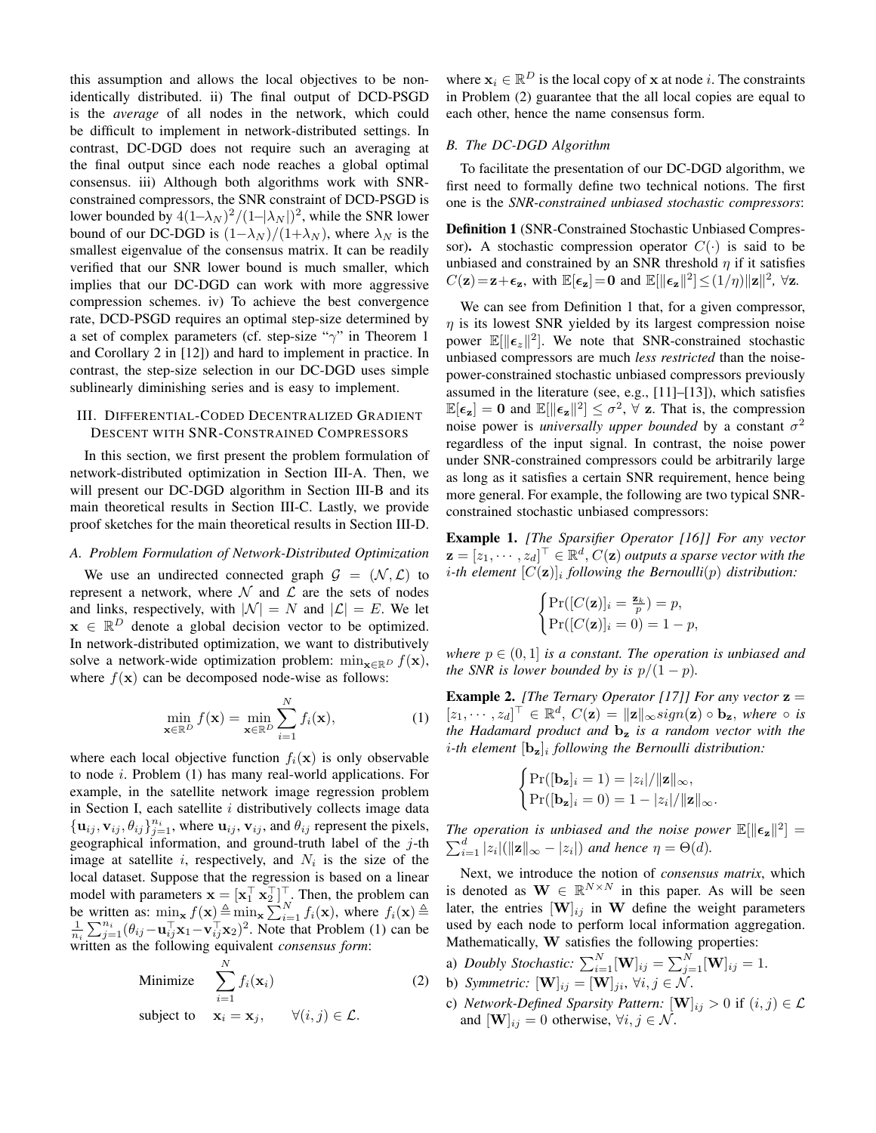this assumption and allows the local objectives to be nonidentically distributed. ii) The final output of DCD-PSGD is the *average* of all nodes in the network, which could be difficult to implement in network-distributed settings. In contrast, DC-DGD does not require such an averaging at the final output since each node reaches a global optimal consensus. iii) Although both algorithms work with SNRconstrained compressors, the SNR constraint of DCD-PSGD is lower bounded by  $4(1-\lambda_N)^2/(1-|\lambda_N|)^2$ , while the SNR lower bound of our DC-DGD is  $(1-\lambda_N)/(1+\lambda_N)$ , where  $\lambda_N$  is the smallest eigenvalue of the consensus matrix. It can be readily verified that our SNR lower bound is much smaller, which implies that our DC-DGD can work with more aggressive compression schemes. iv) To achieve the best convergence rate, DCD-PSGD requires an optimal step-size determined by a set of complex parameters (cf. step-size " $\gamma$ " in Theorem 1 and Corollary 2 in [12]) and hard to implement in practice. In contrast, the step-size selection in our DC-DGD uses simple sublinearly diminishing series and is easy to implement.

## III. DIFFERENTIAL-CODED DECENTRALIZED GRADIENT DESCENT WITH SNR-CONSTRAINED COMPRESSORS

In this section, we first present the problem formulation of network-distributed optimization in Section III-A. Then, we will present our DC-DGD algorithm in Section III-B and its main theoretical results in Section III-C. Lastly, we provide proof sketches for the main theoretical results in Section III-D.

#### *A. Problem Formulation of Network-Distributed Optimization*

We use an undirected connected graph  $\mathcal{G} = (\mathcal{N}, \mathcal{L})$  to represent a network, where  $\mathcal N$  and  $\mathcal L$  are the sets of nodes and links, respectively, with  $|\mathcal{N}| = N$  and  $|\mathcal{L}| = E$ . We let  $\mathbf{x} \in \mathbb{R}^D$  denote a global decision vector to be optimized. In network-distributed optimization, we want to distributively solve a network-wide optimization problem: min<sub> $\mathbf{x} \in \mathbb{R}^D$   $f(\mathbf{x})$ ,</sub> where  $f(\mathbf{x})$  can be decomposed node-wise as follows:

$$
\min_{\mathbf{x} \in \mathbb{R}^D} f(\mathbf{x}) = \min_{\mathbf{x} \in \mathbb{R}^D} \sum_{i=1}^N f_i(\mathbf{x}),\tag{1}
$$

where each local objective function  $f_i(\mathbf{x})$  is only observable to node  $i$ . Problem  $(1)$  has many real-world applications. For example, in the satellite network image regression problem in Section I, each satellite  $i$  distributively collects image data  $\{\mathbf u_{ij}, \mathbf v_{ij}, \theta_{ij}\}_{j=1}^{n_i}$ , where  $\mathbf u_{ij}, \mathbf v_{ij}$ , and  $\theta_{ij}$  represent the pixels, geographical information, and ground-truth label of the  $j$ -th image at satellite i, respectively, and  $N_i$  is the size of the local dataset. Suppose that the regression is based on a linear model with parameters  $\mathbf{x} = [\mathbf{x}_1^\top \ \mathbf{x}_2^\top]^\top$ . Then, the problem can be written as:  $\min_{\mathbf{x}} f(\mathbf{x}) \triangleq \min_{\mathbf{x}} \sum_{i=1}^{N} f_i(\mathbf{x})$ , where  $f_i(\mathbf{x}) \triangleq$  $\frac{1}{n_i} \sum_{j=1}^{n_i} (\theta_{ij} - \mathbf{u}_{ij}^{\top} \mathbf{x}_1 - \mathbf{v}_{ij}^{\top} \mathbf{x}_2)^2$ . Note that Problem (1) can be written as the following equivalent *consensus form*:

Minimize 
$$
\sum_{i=1}^{N} f_i(\mathbf{x}_i)
$$
subject to 
$$
\mathbf{x}_i = \mathbf{x}_j, \qquad \forall (i, j) \in \mathcal{L}.
$$
 (2)

where  $x_i \in \mathbb{R}^D$  is the local copy of x at node *i*. The constraints in Problem (2) guarantee that the all local copies are equal to each other, hence the name consensus form.

#### *B. The DC-DGD Algorithm*

To facilitate the presentation of our DC-DGD algorithm, we first need to formally define two technical notions. The first one is the *SNR-constrained unbiased stochastic compressors*:

Definition 1 (SNR-Constrained Stochastic Unbiased Compressor). A stochastic compression operator  $C(\cdot)$  is said to be unbiased and constrained by an SNR threshold  $\eta$  if it satisfies  $C(\mathbf{z}) = \mathbf{z} + \epsilon_{\mathbf{z}}$ , with  $\mathbb{E}[\epsilon_{\mathbf{z}}] = \mathbf{0}$  and  $\mathbb{E}[\|\epsilon_{\mathbf{z}}\|^2] \leq (1/\eta) \|\mathbf{z}\|^2$ ,  $\forall \mathbf{z}$ .

We can see from Definition 1 that, for a given compressor,  $\eta$  is its lowest SNR yielded by its largest compression noise power  $\mathbb{E}[\|\epsilon_z\|^2]$ . We note that SNR-constrained stochastic unbiased compressors are much *less restricted* than the noisepower-constrained stochastic unbiased compressors previously assumed in the literature (see, e.g., [11]–[13]), which satisfies  $\mathbb{E}[\epsilon_{\mathbf{z}}] = \mathbf{0}$  and  $\mathbb{E}[\|\epsilon_{\mathbf{z}}\|^2] \leq \sigma^2$ ,  $\forall$  z. That is, the compression noise power is *universally upper bounded* by a constant  $\sigma^2$ regardless of the input signal. In contrast, the noise power under SNR-constrained compressors could be arbitrarily large as long as it satisfies a certain SNR requirement, hence being more general. For example, the following are two typical SNRconstrained stochastic unbiased compressors:

Example 1. *[The Sparsifier Operator [16]] For any vector*  $\mathbf{z} = [z_1, \cdots, z_d]^\top \in \mathbb{R}^d$ ,  $C(\mathbf{z})$  *outputs a sparse vector with the i*-th element  $[C(\mathbf{z})]_i$  following the Bernoulli $(p)$  distribution:

$$
\begin{cases}\Pr([C(\mathbf{z})]_i = \frac{\mathbf{z}_k}{p}) = p, \\
\Pr([C(\mathbf{z})]_i = 0) = 1 - p,\n\end{cases}
$$

*where*  $p \in (0,1]$  *is a constant. The operation is unbiased and the SNR is lower bounded by is*  $p/(1-p)$ *.* 

**Example 2.** *[The Ternary Operator [17]] For any vector*  $z =$  $[z_1, \cdots, z_d]^\top \in \mathbb{R}^d$ ,  $C(\mathbf{z}) = ||\mathbf{z}||_{\infty} sign(\mathbf{z}) \circ \mathbf{b}_{\mathbf{z}}$ , where  $\circ$  *is the Hadamard product and* b<sup>z</sup> *is a random vector with the* i*-th element* [bz]<sup>i</sup> *following the Bernoulli distribution:*

$$
\begin{cases}\Pr([\mathbf{b_z}]_i = 1) = |z_i|/||\mathbf{z}||_{\infty},\\ \Pr([\mathbf{b_z}]_i = 0) = 1 - |z_i|/||\mathbf{z}||_{\infty}.\end{cases}
$$

The operation is unbiased and the noise power  $\mathbb{E}[\|\boldsymbol{\epsilon}_z\|^2] =$  $\sum_{i=1}^d |z_i| (||\mathbf{z}||_{\infty} - |z_i|)$  and hence  $\eta = \Theta(d)$ .

Next, we introduce the notion of *consensus matrix*, which is denoted as  $\mathbf{W} \in \mathbb{R}^{N \times N}$  in this paper. As will be seen later, the entries  $[\mathbf{W}]_{ij}$  in W define the weight parameters used by each node to perform local information aggregation. Mathematically, W satisfies the following properties:

- a) *Doubly Stochastic*:  $\sum_{i=1}^{N} [\mathbf{W}]_{ij} = \sum_{j=1}^{N} [\mathbf{W}]_{ij} = 1$ .
- b) *Symmetric:*  $[\mathbf{W}]_{ij} = [\mathbf{W}]_{ji}, \forall i, j \in \mathcal{N}$ .
- c) *Network-Defined Sparsity Pattern:*  $[\mathbf{W}]_{ij} > 0$  if  $(i, j) \in \mathcal{L}$ and  $[\mathbf{W}]_{ij} = 0$  otherwise,  $\forall i, j \in \mathcal{N}$ .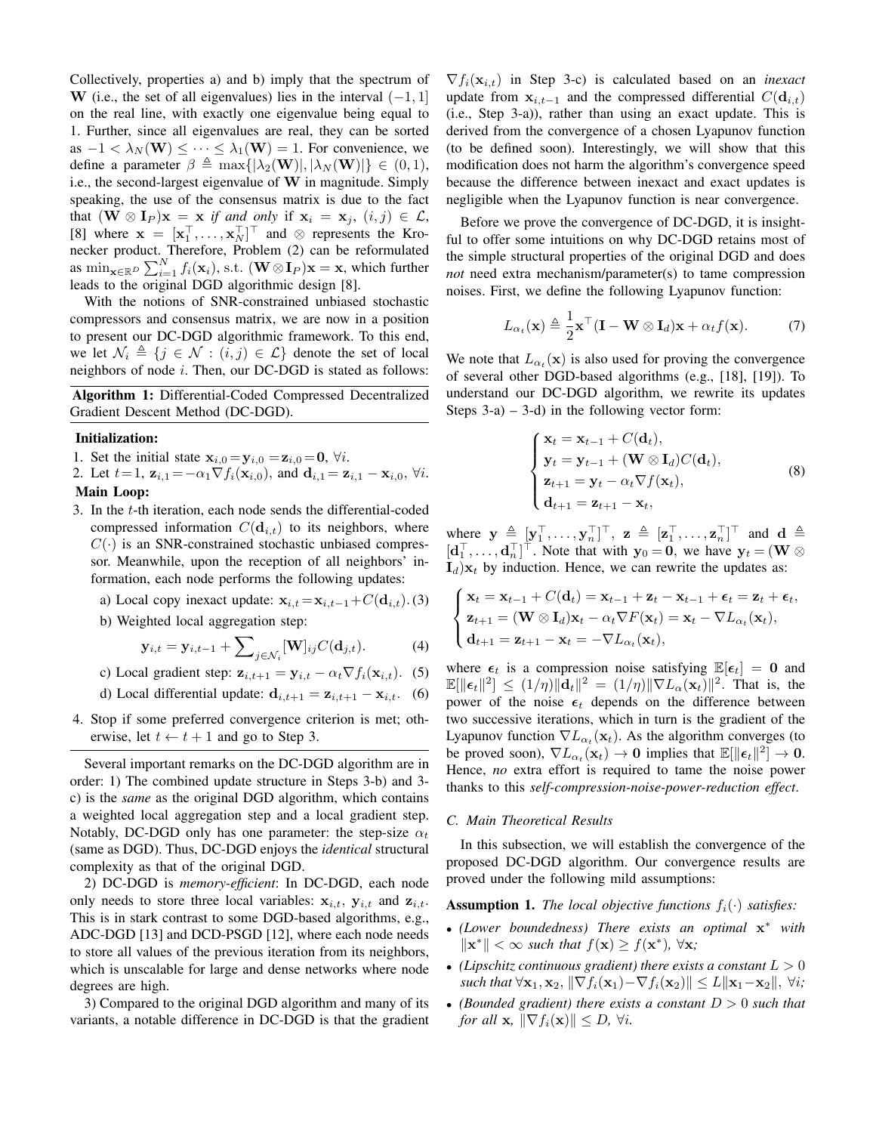Collectively, properties a) and b) imply that the spectrum of W (i.e., the set of all eigenvalues) lies in the interval  $(-1, 1]$ on the real line, with exactly one eigenvalue being equal to 1. Further, since all eigenvalues are real, they can be sorted as  $-1 < \lambda_N(\mathbf{W}) \leq \cdots \leq \lambda_1(\mathbf{W}) = 1$ . For convenience, we define a parameter  $\beta \triangleq \max\{|\lambda_2(\mathbf{W})|, |\lambda_N(\mathbf{W})|\} \in (0,1),$ i.e., the second-largest eigenvalue of W in magnitude. Simply speaking, the use of the consensus matrix is due to the fact that  $(W \otimes I_P)$ **x** = **x** *if and only* if  $x_i = x_j$ ,  $(i, j) \in \mathcal{L}$ , [8] where  $\mathbf{x} = [\mathbf{x}_1^\top, \dots, \mathbf{x}_N^\top]^\top$  and  $\otimes$  represents the Kronecker product. Therefore, Problem (2) can be reformulated as  $\min_{\mathbf{x} \in \mathbb{R}^D} \sum_{i=1}^N f_i(\mathbf{x}_i)$ , s.t.  $(\mathbf{W} \otimes \mathbf{I}_P)\mathbf{x} = \mathbf{x}$ , which further leads to the original DGD algorithmic design [8].

With the notions of SNR-constrained unbiased stochastic compressors and consensus matrix, we are now in a position to present our DC-DGD algorithmic framework. To this end, we let  $\mathcal{N}_i \triangleq \{j \in \mathcal{N} : (i, j) \in \mathcal{L}\}\$  denote the set of local neighbors of node  $i$ . Then, our DC-DGD is stated as follows:

Algorithm 1: Differential-Coded Compressed Decentralized Gradient Descent Method (DC-DGD).

## Initialization:

- 1. Set the initial state  $\mathbf{x}_{i,0} = \mathbf{y}_{i,0} = \mathbf{z}_{i,0} = \mathbf{0}, \forall i$ .
- 2. Let  $t = 1$ ,  $z_{i,1} = -\alpha_1 \nabla f_i(x_{i,0})$ , and  $d_{i,1} = z_{i,1} x_{i,0}$ ,  $\forall i$ .
- Main Loop:
- 3. In the t-th iteration, each node sends the differential-coded compressed information  $C(\mathbf{d}_{i,t})$  to its neighbors, where  $C(\cdot)$  is an SNR-constrained stochastic unbiased compressor. Meanwhile, upon the reception of all neighbors' information, each node performs the following updates:
	- a) Local copy inexact update:  $\mathbf{x}_{i,t} = \mathbf{x}_{i,t-1} + C(\mathbf{d}_{i,t})$ .(3)
	- b) Weighted local aggregation step:

$$
\mathbf{y}_{i,t} = \mathbf{y}_{i,t-1} + \sum_{j \in \mathcal{N}_i} [\mathbf{W}]_{ij} C(\mathbf{d}_{j,t}). \tag{4}
$$

c) Local gradient step: 
$$
\mathbf{z}_{i,t+1} = \mathbf{y}_{i,t} - \alpha_t \nabla f_i(\mathbf{x}_{i,t}).
$$
 (5)

- d) Local differential update:  $\mathbf{d}_{i,t+1} = \mathbf{z}_{i,t+1} \mathbf{x}_{i,t}$ . (6)
- 4. Stop if some preferred convergence criterion is met; otherwise, let  $t \leftarrow t + 1$  and go to Step 3.

Several important remarks on the DC-DGD algorithm are in order: 1) The combined update structure in Steps 3-b) and 3 c) is the *same* as the original DGD algorithm, which contains a weighted local aggregation step and a local gradient step. Notably, DC-DGD only has one parameter: the step-size  $\alpha_t$ (same as DGD). Thus, DC-DGD enjoys the *identical* structural complexity as that of the original DGD.

2) DC-DGD is *memory-efficient*: In DC-DGD, each node only needs to store three local variables:  $x_{i,t}$ ,  $y_{i,t}$  and  $z_{i,t}$ . This is in stark contrast to some DGD-based algorithms, e.g., ADC-DGD [13] and DCD-PSGD [12], where each node needs to store all values of the previous iteration from its neighbors, which is unscalable for large and dense networks where node degrees are high.

3) Compared to the original DGD algorithm and many of its variants, a notable difference in DC-DGD is that the gradient

 $\nabla f_i(\mathbf{x}_{i,t})$  in Step 3-c) is calculated based on an *inexact* update from  $x_{i,t-1}$  and the compressed differential  $C(\mathbf{d}_{i,t})$ (i.e., Step 3-a)), rather than using an exact update. This is derived from the convergence of a chosen Lyapunov function (to be defined soon). Interestingly, we will show that this modification does not harm the algorithm's convergence speed because the difference between inexact and exact updates is negligible when the Lyapunov function is near convergence.

Before we prove the convergence of DC-DGD, it is insightful to offer some intuitions on why DC-DGD retains most of the simple structural properties of the original DGD and does *not* need extra mechanism/parameter(s) to tame compression noises. First, we define the following Lyapunov function:

$$
L_{\alpha_t}(\mathbf{x}) \triangleq \frac{1}{2}\mathbf{x}^\top (\mathbf{I} - \mathbf{W} \otimes \mathbf{I}_d)\mathbf{x} + \alpha_t f(\mathbf{x}). \tag{7}
$$

We note that  $L_{\alpha_t}(\mathbf{x})$  is also used for proving the convergence of several other DGD-based algorithms (e.g., [18], [19]). To understand our DC-DGD algorithm, we rewrite its updates Steps  $3-a$  –  $3-d$ ) in the following vector form:

$$
\begin{cases}\n\mathbf{x}_t = \mathbf{x}_{t-1} + C(\mathbf{d}_t), \n\mathbf{y}_t = \mathbf{y}_{t-1} + (\mathbf{W} \otimes \mathbf{I}_d)C(\mathbf{d}_t), \n\mathbf{z}_{t+1} = \mathbf{y}_t - \alpha_t \nabla f(\mathbf{x}_t), \n\mathbf{d}_{t+1} = \mathbf{z}_{t+1} - \mathbf{x}_t,\n\end{cases}
$$
\n(8)

where  $\mathbf{y} \triangleq [\mathbf{y}_1^\top, \dots, \mathbf{y}_n^\top]^\top$ ,  $\mathbf{z} \triangleq [\mathbf{z}_1^\top, \dots, \mathbf{z}_n^\top]^\top$  and  $\mathbf{d} \triangleq$  $[\mathbf{d}_1^\top, \dots, \mathbf{d}_n^\top]^\top$ . Note that with  $\mathbf{y}_0 = \mathbf{0}$ , we have  $\mathbf{y}_t = (\mathbf{W} \otimes \mathbf{W})$  $I_d$ ) $x_t$  by induction. Hence, we can rewrite the updates as:

$$
\begin{cases}\n\mathbf{x}_t = \mathbf{x}_{t-1} + C(\mathbf{d}_t) = \mathbf{x}_{t-1} + \mathbf{z}_t - \mathbf{x}_{t-1} + \boldsymbol{\epsilon}_t = \mathbf{z}_t + \boldsymbol{\epsilon}_t, \\
\mathbf{z}_{t+1} = (\mathbf{W} \otimes \mathbf{I}_d)\mathbf{x}_t - \alpha_t \nabla F(\mathbf{x}_t) = \mathbf{x}_t - \nabla L_{\alpha_t}(\mathbf{x}_t), \\
\mathbf{d}_{t+1} = \mathbf{z}_{t+1} - \mathbf{x}_t = -\nabla L_{\alpha_t}(\mathbf{x}_t),\n\end{cases}
$$

where  $\epsilon_t$  is a compression noise satisfying  $\mathbb{E}[\epsilon_t] = 0$  and  $\mathbb{E}[\|\boldsymbol{\epsilon}_t\|^2] \leq (1/\eta)\|\mathbf{d}_t\|^2 = (1/\eta)\|\nabla L_{\alpha}(\mathbf{x}_t)\|^2$ . That is, the power of the noise  $\epsilon_t$  depends on the difference between two successive iterations, which in turn is the gradient of the Lyapunov function  $\nabla L_{\alpha_t}(\mathbf{x}_t)$ . As the algorithm converges (to be proved soon),  $\nabla L_{\alpha_t}(\mathbf{x}_t) \to \mathbf{0}$  implies that  $\mathbb{E}[\|\boldsymbol{\epsilon}_t\|^2] \to \mathbf{0}$ . Hence, *no* extra effort is required to tame the noise power thanks to this *self-compression-noise-power-reduction effect*.

#### *C. Main Theoretical Results*

In this subsection, we will establish the convergence of the proposed DC-DGD algorithm. Our convergence results are proved under the following mild assumptions:

**Assumption 1.** *The local objective functions*  $f_i(\cdot)$  *satisfies:* 

- *(Lower boundedness) There exists an optimal* x <sup>∗</sup> *with*  $\|\mathbf{x}^*\| < \infty$  *such that*  $f(\mathbf{x}) \geq f(\mathbf{x}^*)$ ,  $\forall \mathbf{x}$ ;
- (Lipschitz continuous gradient) there exists a constant  $L > 0$ *such that*  $\forall$ **x**<sub>1</sub>, **x**<sub>2</sub>,  $\|\nabla f_i(\mathbf{x}_1) - \nabla f_i(\mathbf{x}_2)\| \le L\|\mathbf{x}_1 - \mathbf{x}_2\|$ ,  $\forall i$ ;
- *(Bounded gradient) there exists a constant* D > 0 *such that for all* **x**,  $\|\nabla f_i(\mathbf{x})\| \leq D$ ,  $\forall i$ .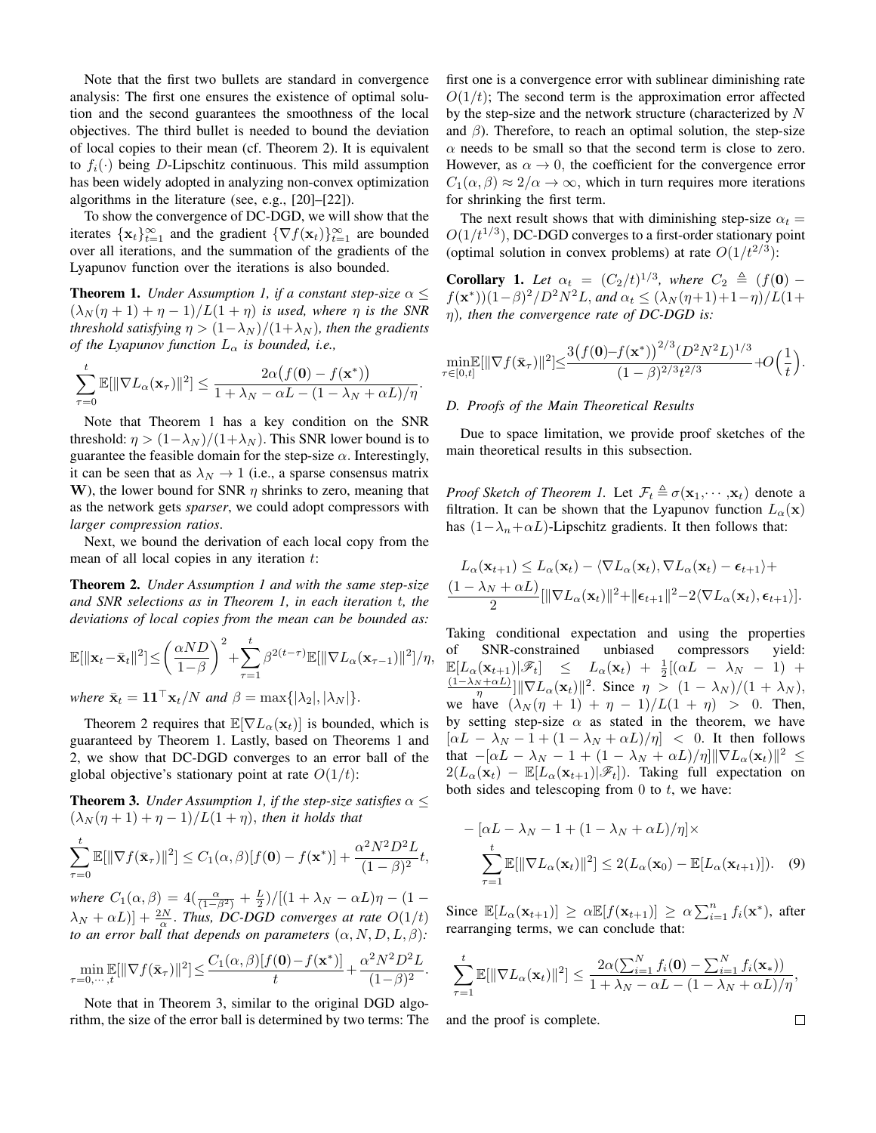Note that the first two bullets are standard in convergence analysis: The first one ensures the existence of optimal solution and the second guarantees the smoothness of the local objectives. The third bullet is needed to bound the deviation of local copies to their mean (cf. Theorem 2). It is equivalent to  $f_i(\cdot)$  being D-Lipschitz continuous. This mild assumption has been widely adopted in analyzing non-convex optimization algorithms in the literature (see, e.g., [20]–[22]).

To show the convergence of DC-DGD, we will show that the iterates  $\{x_t\}_{t=1}^{\infty}$  and the gradient  $\{\nabla f(x_t)\}_{t=1}^{\infty}$  are bounded over all iterations, and the summation of the gradients of the Lyapunov function over the iterations is also bounded.

**Theorem 1.** *Under Assumption 1, if a constant step-size*  $\alpha$   $\leq$  $(\lambda_N(\eta + 1) + \eta - 1)/L(1 + \eta)$  *is used, where*  $\eta$  *is the SNR threshold satisfying*  $\eta > (1 - \lambda_N)/(1 + \lambda_N)$ *, then the gradients of the Lyapunov function*  $L_{\alpha}$  *is bounded, i.e.,* 

$$
\sum_{\tau=0}^t \mathbb{E}[\|\nabla L_{\alpha}(\mathbf{x}_\tau)\|^2] \leq \frac{2\alpha\big(f(\mathbf{0}) - f(\mathbf{x}^*)\big)}{1 + \lambda_N - \alpha L - (1 - \lambda_N + \alpha L)/\eta}.
$$

Note that Theorem 1 has a key condition on the SNR threshold:  $\eta > (1-\lambda_N)/(1+\lambda_N)$ . This SNR lower bound is to guarantee the feasible domain for the step-size  $\alpha$ . Interestingly, it can be seen that as  $\lambda_N \rightarrow 1$  (i.e., a sparse consensus matrix W), the lower bound for SNR  $\eta$  shrinks to zero, meaning that as the network gets *sparser*, we could adopt compressors with *larger compression ratios*.

Next, we bound the derivation of each local copy from the mean of all local copies in any iteration  $t$ :

Theorem 2. *Under Assumption 1 and with the same step-size and SNR selections as in Theorem 1, in each iteration* t*, the deviations of local copies from the mean can be bounded as:*

$$
\mathbb{E}[\|\mathbf{x}_t-\bar{\mathbf{x}}_t\|^2] \leq \left(\frac{\alpha ND}{1-\beta}\right)^2 + \sum_{\tau=1}^t \beta^{2(t-\tau)} \mathbb{E}[\|\nabla L_\alpha(\mathbf{x}_{\tau-1})\|^2]/\eta,
$$

*where*  $\bar{\mathbf{x}}_t = \mathbf{1} \mathbf{1}^\top \mathbf{x}_t / N$  *and*  $\beta = \max\{|\lambda_2|, |\lambda_N|\}.$ 

Theorem 2 requires that  $\mathbb{E}[\nabla L_{\alpha}(\mathbf{x}_t)]$  is bounded, which is guaranteed by Theorem 1. Lastly, based on Theorems 1 and 2, we show that DC-DGD converges to an error ball of the global objective's stationary point at rate  $O(1/t)$ :

**Theorem 3.** *Under Assumption 1, if the step-size satisfies*  $\alpha \leq$  $(\lambda_N(\eta + 1) + \eta - 1)/L(1 + \eta)$ , then it holds that

$$
\sum_{\tau=0}^t \mathbb{E}[\|\nabla f(\bar{\mathbf{x}}_{\tau})\|^2] \le C_1(\alpha,\beta)[f(\mathbf{0}) - f(\mathbf{x}^*)] + \frac{\alpha^2 N^2 D^2 L}{(1-\beta)^2}t,
$$

*where*  $C_1(\alpha, \beta) = 4(\frac{\alpha}{(1-\beta^2)} + \frac{L}{2})/[(1 + \lambda_N - \alpha L)\eta - (1 (\lambda_N + \alpha L)] + \frac{2N}{\alpha}$ . *Thus, DC-DGD converges at rate*  $O(1/t)$ *to an error ball that depends on parameters*  $(\alpha, N, D, L, \beta)$ *:* 

$$
\min_{\tau=0,\cdots,t} \mathbb{E}[\|\nabla f(\bar{\mathbf{x}}_{\tau})\|^2] \le \frac{C_1(\alpha,\beta)[f(\mathbf{0})-f(\mathbf{x}^*)]}{t} + \frac{\alpha^2 N^2 D^2 L}{(1-\beta)^2}.
$$

Note that in Theorem 3, similar to the original DGD algorithm, the size of the error ball is determined by two terms: The first one is a convergence error with sublinear diminishing rate  $O(1/t)$ ; The second term is the approximation error affected by the step-size and the network structure (characterized by N and  $\beta$ ). Therefore, to reach an optimal solution, the step-size  $\alpha$  needs to be small so that the second term is close to zero. However, as  $\alpha \to 0$ , the coefficient for the convergence error  $C_1(\alpha, \beta) \approx 2/\alpha \rightarrow \infty$ , which in turn requires more iterations for shrinking the first term.

The next result shows that with diminishing step-size  $\alpha_t =$  $O(1/t^{1/3})$ , DC-DGD converges to a first-order stationary point (optimal solution in convex problems) at rate  $O(1/t^{2/3})$ :

**Corollary 1.** Let  $\alpha_t = (C_2/t)^{1/3}$ , where  $C_2 \triangleq (f(\mathbf{0})$  $f(\mathbf{x}^*))$  $(1-\beta)^2/D^2N^2L$ , and  $\alpha_t \leq (\lambda_N(\eta+1)+1-\eta)/L(1+\eta)$ η)*, then the convergence rate of DC-DGD is:*

$$
\min_{\tau \in [0,t]} \mathbb{E}[\|\nabla f(\bar{\mathbf{x}}_{\tau})\|^2] \le \frac{3(f(\mathbf{0}) - f(\mathbf{x}^*))^{2/3}(D^2N^2L)^{1/3}}{(1-\beta)^{2/3}t^{2/3}} + O\Big(\frac{1}{t}\Big).
$$

 $0/2$ 

### *D. Proofs of the Main Theoretical Results*

Due to space limitation, we provide proof sketches of the main theoretical results in this subsection.

*Proof Sketch of Theorem 1.* Let  $\mathcal{F}_t \triangleq \sigma(\mathbf{x}_1, \dots, \mathbf{x}_t)$  denote a filtration. It can be shown that the Lyapunov function  $L_{\alpha}(\mathbf{x})$ has  $(1-\lambda_n+\alpha L)$ -Lipschitz gradients. It then follows that:

$$
L_{\alpha}(\mathbf{x}_{t+1}) \leq L_{\alpha}(\mathbf{x}_t) - \langle \nabla L_{\alpha}(\mathbf{x}_t), \nabla L_{\alpha}(\mathbf{x}_t) - \epsilon_{t+1} \rangle +
$$
  

$$
\frac{(1 - \lambda_N + \alpha L)}{2} [\|\nabla L_{\alpha}(\mathbf{x}_t)\|^2 + \|\epsilon_{t+1}\|^2 - 2 \langle \nabla L_{\alpha}(\mathbf{x}_t), \epsilon_{t+1} \rangle].
$$

Taking conditional expectation and using the properties of SNR-constrained unbiased compressors yield:  $\mathbb{E}[L_{\alpha}(\mathbf{x}_{t+1})|\mathscr{F}_t] \leq L_{\alpha}(\mathbf{x}_t) + \frac{1}{2}[(\alpha L - \lambda_N - 1) +$  $\frac{(1-\lambda_N+\alpha L)}{\eta}$ ]|| $\nabla L_{\alpha}(\mathbf{x}_t)$ ||<sup>2</sup>. Since  $\eta > (1-\lambda_N)/(1+\lambda_N)$ , we have  $(\lambda_N (\eta + 1) + \eta - 1)/L(1 + \eta) > 0$ . Then, by setting step-size  $\alpha$  as stated in the theorem, we have  $[\alpha L - \lambda_N - 1 + (1 - \lambda_N + \alpha L)/\eta] < 0$ . It then follows that  $-[\alpha L - \lambda_N - 1 + (1 - \lambda_N + \alpha L)/\eta] \|\nabla L_{\alpha}(\mathbf{x}_t)\|^2 \leq$  $2(L_{\alpha}(\mathbf{x}_t) - \mathbb{E}[L_{\alpha}(\mathbf{x}_{t+1})|\mathscr{F}_t]).$  Taking full expectation on both sides and telescoping from  $0$  to  $t$ , we have:

$$
- [\alpha L - \lambda_N - 1 + (1 - \lambda_N + \alpha L)/\eta] \times
$$
  

$$
\sum_{\tau=1}^{t} \mathbb{E}[\|\nabla L_{\alpha}(\mathbf{x}_t)\|^2] \le 2(L_{\alpha}(\mathbf{x}_0) - \mathbb{E}[L_{\alpha}(\mathbf{x}_{t+1})]).
$$
 (9)

Since  $\mathbb{E}[L_{\alpha}(\mathbf{x}_{t+1})] \ge \alpha \mathbb{E}[f(\mathbf{x}_{t+1})] \ge \alpha \sum_{i=1}^{n} f_i(\mathbf{x}^*)$ , after rearranging terms, we can conclude that:

$$
\sum_{\tau=1}^t \mathbb{E}[\|\nabla L_{\alpha}(\mathbf{x}_t)\|^2] \leq \frac{2\alpha(\sum_{i=1}^N f_i(\mathbf{0}) - \sum_{i=1}^N f_i(\mathbf{x}_*))}{1 + \lambda_N - \alpha L - (1 - \lambda_N + \alpha L)/\eta},
$$

and the proof is complete.

 $\Box$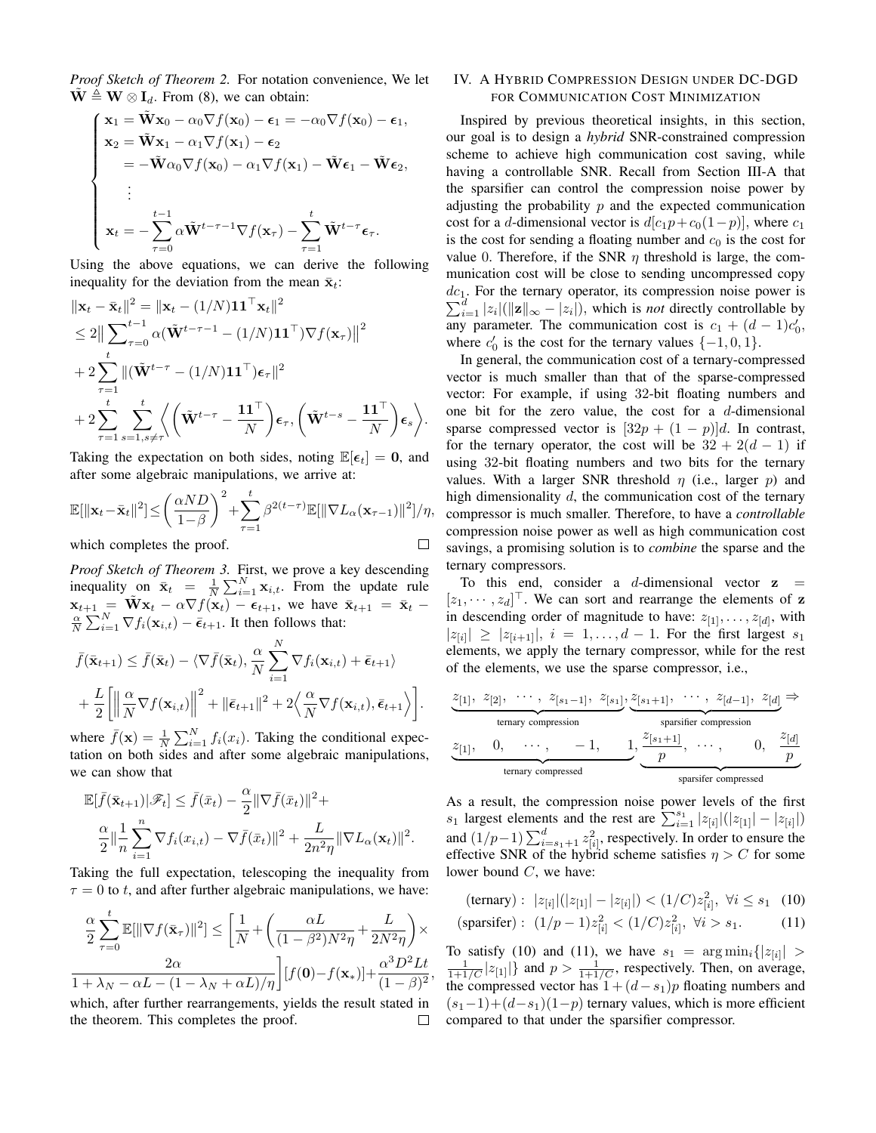*Proof Sketch of Theorem 2.* For notation convenience, We let  $\mathbf{W} \triangleq \mathbf{W} \otimes \mathbf{I}_d$ . From (8), we can obtain:

$$
\begin{cases}\n\mathbf{x}_1 = \tilde{\mathbf{W}} \mathbf{x}_0 - \alpha_0 \nabla f(\mathbf{x}_0) - \boldsymbol{\epsilon}_1 = -\alpha_0 \nabla f(\mathbf{x}_0) - \boldsymbol{\epsilon}_1, \\
\mathbf{x}_2 = \tilde{\mathbf{W}} \mathbf{x}_1 - \alpha_1 \nabla f(\mathbf{x}_1) - \boldsymbol{\epsilon}_2 \\
= -\tilde{\mathbf{W}} \alpha_0 \nabla f(\mathbf{x}_0) - \alpha_1 \nabla f(\mathbf{x}_1) - \tilde{\mathbf{W}} \boldsymbol{\epsilon}_1 - \tilde{\mathbf{W}} \boldsymbol{\epsilon}_2, \\
\vdots \\
\mathbf{x}_t = -\sum_{\tau=0}^{t-1} \alpha \tilde{\mathbf{W}}^{t-\tau-1} \nabla f(\mathbf{x}_\tau) - \sum_{\tau=1}^t \tilde{\mathbf{W}}^{t-\tau} \boldsymbol{\epsilon}_\tau.\n\end{cases}
$$

Using the above equations, we can derive the following inequality for the deviation from the mean  $\bar{\mathbf{x}}_t$ :

$$
\|\mathbf{x}_{t}-\bar{\mathbf{x}}_{t}\|^{2} = \|\mathbf{x}_{t} - (1/N)\mathbf{1}\mathbf{1}^{\top}\mathbf{x}_{t}\|^{2}
$$
  
\n
$$
\leq 2\|\sum_{\tau=0}^{t-1} \alpha(\tilde{\mathbf{W}}^{t-\tau-1} - (1/N)\mathbf{1}\mathbf{1}^{\top})\nabla f(\mathbf{x}_{\tau})\|^{2}
$$
  
\n
$$
+ 2\sum_{\tau=1}^{t} \|(\tilde{\mathbf{W}}^{t-\tau} - (1/N)\mathbf{1}\mathbf{1}^{\top})\boldsymbol{\epsilon}_{\tau}\|^{2}
$$
  
\n
$$
+ 2\sum_{\tau=1}^{t} \sum_{s=1, s\neq\tau}^{t} \left\langle (\tilde{\mathbf{W}}^{t-\tau} - \frac{\mathbf{1}\mathbf{1}^{\top}}{N})\boldsymbol{\epsilon}_{\tau}, (\tilde{\mathbf{W}}^{t-s} - \frac{\mathbf{1}\mathbf{1}^{\top}}{N})\boldsymbol{\epsilon}_{s} \right\rangle.
$$

Taking the expectation on both sides, noting  $\mathbb{E}[\epsilon_t] = 0$ , and after some algebraic manipulations, we arrive at:

$$
\mathbb{E}[\|\mathbf{x}_t - \bar{\mathbf{x}}_t\|^2] \le \left(\frac{\alpha ND}{1-\beta}\right)^2 + \sum_{\tau=1}^t \beta^{2(t-\tau)} \mathbb{E}[\|\nabla L_\alpha(\mathbf{x}_{\tau-1})\|^2]/\eta,
$$
  
which completes the proof.

which completes the proof.

*Proof Sketch of Theorem 3.* First, we prove a key descending inequality on  $\bar{\mathbf{x}}_t = \frac{1}{N} \sum_{i=1}^N \mathbf{x}_{i,t}$ . From the update rule  $\mathbf{x}_{t+1} = \tilde{\mathbf{W}} \mathbf{x}_t - \alpha \nabla f(\mathbf{x}_t) - \boldsymbol{\epsilon}_{t+1}$ , we have  $\bar{\mathbf{x}}_{t+1} = \bar{\mathbf{x}}_t$  $\frac{\alpha}{N} \sum_{i=1}^{N} \nabla f_i(\mathbf{x}_{i,t}) - \bar{\epsilon}_{t+1}$ . It then follows that:

$$
\bar{f}(\bar{\mathbf{x}}_{t+1}) \leq \bar{f}(\bar{\mathbf{x}}_t) - \langle \nabla \bar{f}(\bar{\mathbf{x}}_t), \frac{\alpha}{N} \sum_{i=1}^N \nabla f_i(\mathbf{x}_{i,t}) + \bar{\epsilon}_{t+1} \rangle \n+ \frac{L}{2} \left[ \left\| \frac{\alpha}{N} \nabla f(\mathbf{x}_{i,t}) \right\|^2 + \|\bar{\epsilon}_{t+1}\|^2 + 2 \left\langle \frac{\alpha}{N} \nabla f(\mathbf{x}_{i,t}), \bar{\epsilon}_{t+1} \right\rangle \right].
$$

where  $\bar{f}(\mathbf{x}) = \frac{1}{N} \sum_{i=1}^{N} f_i(x_i)$ . Taking the conditional expectation on both sides and after some algebraic manipulations, we can show that

$$
\mathbb{E}[\bar{f}(\bar{\mathbf{x}}_{t+1})|\mathscr{F}_t] \leq \bar{f}(\bar{x}_t) - \frac{\alpha}{2} \|\nabla \bar{f}(\bar{x}_t)\|^2 + \frac{\alpha}{2} \|\frac{1}{n}\sum_{i=1}^n \nabla f_i(x_{i,t}) - \nabla \bar{f}(\bar{x}_t)\|^2 + \frac{L}{2n^2\eta} \|\nabla L_\alpha(\mathbf{x}_t)\|^2.
$$

Taking the full expectation, telescoping the inequality from  $\tau = 0$  to t, and after further algebraic manipulations, we have:

$$
\frac{\alpha}{2} \sum_{\tau=0}^{t} \mathbb{E}[\|\nabla f(\bar{\mathbf{x}}_{\tau})\|^2] \le \left[\frac{1}{N} + \left(\frac{\alpha L}{(1-\beta^2)N^2\eta} + \frac{L}{2N^2\eta}\right)\times \frac{2\alpha}{1+\lambda_N - \alpha L - (1-\lambda_N + \alpha L)/\eta}\right] [f(\mathbf{0}) - f(\mathbf{x}_*)] + \frac{\alpha^3 D^2 L t}{(1-\beta)^2},
$$

which, after further rearrangements, yields the result stated in the theorem. This completes the proof.  $\Box$ 

## IV. A HYBRID COMPRESSION DESIGN UNDER DC-DGD FOR COMMUNICATION COST MINIMIZATION

Inspired by previous theoretical insights, in this section, our goal is to design a *hybrid* SNR-constrained compression scheme to achieve high communication cost saving, while having a controllable SNR. Recall from Section III-A that the sparsifier can control the compression noise power by adjusting the probability  $p$  and the expected communication cost for a d-dimensional vector is  $d[c_1p+c_0(1-p)]$ , where  $c_1$ is the cost for sending a floating number and  $c_0$  is the cost for value 0. Therefore, if the SNR  $\eta$  threshold is large, the communication cost will be close to sending uncompressed copy  $dc_1$ . For the ternary operator, its compression noise power is  $\sum_{i=1}^{d} |z_i| (||\mathbf{z}||_{\infty} - |z_i|),$  which is *not* directly controllable by any parameter. The communication cost is  $c_1 + (d - 1)c'_0$ , where  $c'_0$  is the cost for the ternary values  $\{-1,0,1\}$ .

In general, the communication cost of a ternary-compressed vector is much smaller than that of the sparse-compressed vector: For example, if using 32-bit floating numbers and one bit for the zero value, the cost for a  $d$ -dimensional sparse compressed vector is  $[32p + (1-p)]d$ . In contrast, for the ternary operator, the cost will be  $32 + 2(d - 1)$  if using 32-bit floating numbers and two bits for the ternary values. With a larger SNR threshold  $\eta$  (i.e., larger  $p$ ) and high dimensionality  $d$ , the communication cost of the ternary compressor is much smaller. Therefore, to have a *controllable* compression noise power as well as high communication cost savings, a promising solution is to *combine* the sparse and the ternary compressors.

To this end, consider a d-dimensional vector  $z =$  $[z_1, \dots, z_d]^\top$ . We can sort and rearrange the elements of z in descending order of magnitude to have:  $z_{[1]}, \ldots, z_{[d]},$  with  $|z_{[i]}| \geq |z_{[i+1]}|, i = 1, \ldots, d-1$ . For the first largest  $s_1$ elements, we apply the ternary compressor, while for the rest of the elements, we use the sparse compressor, i.e.,

$$
\underbrace{z_{[1]}, z_{[2]}, \cdots, z_{[s_1-1]}, z_{[s_1]}}_{\text{ternary compression}}, \underbrace{z_{[s_1+1]}, \cdots, z_{[d-1]}, z_{[d]}}_{\text{sparsifier compression}} \Rightarrow
$$
  
\n
$$
\underbrace{z_{[1]}, 0, \cdots, -1, 1}_{\text{ternary compressed}}, \underbrace{z_{[s_1+1]}}_{\text{sparsifer compressed}}, \cdots, 0, \underbrace{z_{[d]}}_{\text{sparsifer compressed}}
$$

As a result, the compression noise power levels of the first  $s_1$  largest elements and the rest are  $\sum_{i=1}^{s_1} |z_{[i]}| (|z_{[1]}| - |z_{[i]}|)$ and  $(1/p-1)\sum_{i=s_1+1}^{d} z_{[i]}^2$ , respectively. In order to ensure the effective SNR of the hybrid scheme satisfies  $\eta > C$  for some lower bound C, we have:

$$
\begin{aligned} \text{(ternary)}: \ |z_{[i]}|(|z_{[1]}| - |z_{[i]}|) < (1/C)z_{[i]}^2, \ \forall i \le s_1 \quad (10) \\ \text{(sparsifer)}: \ (1/p - 1)z_{[i]}^2 < (1/C)z_{[i]}^2, \ \forall i > s_1. \end{aligned}
$$

To satisfy (10) and (11), we have  $s_1 = \arg \min_i \{|z_{[i]}| > \frac{1}{1+1/C}|z_{[1]}|\}$  and  $p > \frac{1}{1+1/C}$ , respectively. Then, on average, the compressed vector has  $1 + (d - s_1)p$  floating numbers and  $(s_1-1)+(d-s_1)(1-p)$  ternary values, which is more efficient compared to that under the sparsifier compressor.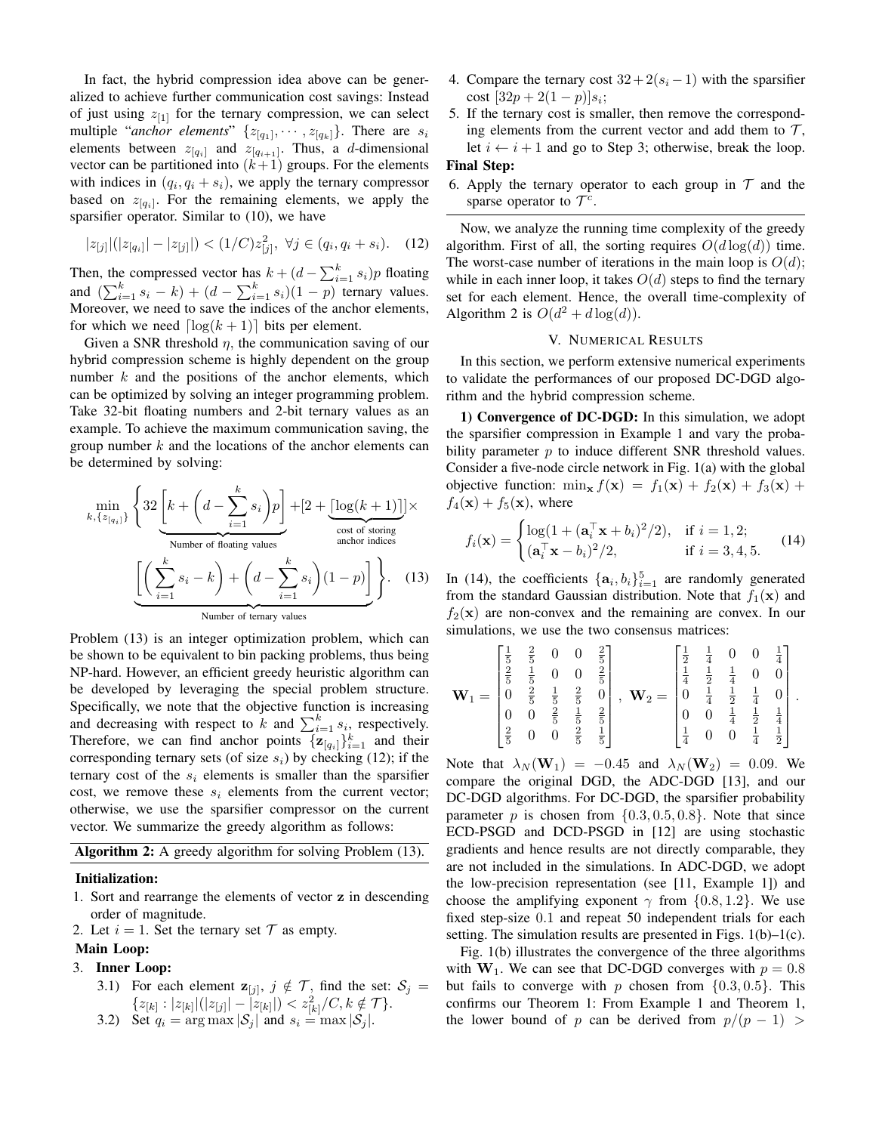In fact, the hybrid compression idea above can be generalized to achieve further communication cost savings: Instead of just using  $z_{[1]}$  for the ternary compression, we can select multiple "*anchor elements*"  $\{z_{[q_1]}, \dots, z_{[q_k]}\}\$ . There are  $s_i$ elements between  $z_{[q_i]}$  and  $z_{[q_{i+1}]}$ . Thus, a d-dimensional vector can be partitioned into  $(k+1)$  groups. For the elements with indices in  $(q_i, q_i + s_i)$ , we apply the ternary compressor based on  $z_{[q_i]}$ . For the remaining elements, we apply the sparsifier operator. Similar to (10), we have

$$
|z_{[j]}|(|z_{[q_i]}| - |z_{[j]}|) < (1/C)z_{[j]}^2, \ \forall j \in (q_i, q_i + s_i). \tag{12}
$$

Then, the compressed vector has  $k + (d - \sum_{i=1}^{k} s_i)p$  floating and  $(\sum_{i=1}^{k} s_i - k) + (d - \sum_{i=1}^{k} s_i)(1 - p)$  ternary values. Moreover, we need to save the indices of the anchor elements, for which we need  $\lceil \log(k + 1) \rceil$  bits per element.

Given a SNR threshold  $\eta$ , the communication saving of our hybrid compression scheme is highly dependent on the group number  $k$  and the positions of the anchor elements, which can be optimized by solving an integer programming problem. Take 32-bit floating numbers and 2-bit ternary values as an example. To achieve the maximum communication saving, the group number  $k$  and the locations of the anchor elements can be determined by solving:

$$
\min_{k, \{z_{[q_i]}\}} \left\{ 32 \underbrace{\left[k + \left(d - \sum_{i=1}^k s_i\right)p\right]}_{\text{Number of floating values}} + \underbrace{\left[\left(\sum_{i=1}^k s_i - k\right) + \left(d - \sum_{i=1}^k s_i\right)(1-p)\right]}_{\text{Number of ternary values}} \right\}.
$$
 (13)

Problem (13) is an integer optimization problem, which can be shown to be equivalent to bin packing problems, thus being NP-hard. However, an efficient greedy heuristic algorithm can be developed by leveraging the special problem structure. Specifically, we note that the objective function is increasing and decreasing with respect to k and  $\sum_{i=1}^{k} s_i$ , respectively. Therefore, we can find anchor points  $\{z_{[q_i]}\}_{i=1}^k$  and their corresponding ternary sets (of size  $s_i$ ) by checking (12); if the ternary cost of the  $s_i$  elements is smaller than the sparsifier cost, we remove these  $s_i$  elements from the current vector; otherwise, we use the sparsifier compressor on the current vector. We summarize the greedy algorithm as follows:

Algorithm 2: A greedy algorithm for solving Problem (13).

#### Initialization:

- 1. Sort and rearrange the elements of vector z in descending order of magnitude.
- 2. Let  $i = 1$ . Set the ternary set  $\mathcal T$  as empty.

## Main Loop:

## 3. Inner Loop:

- 3.1) For each element  $z_{[j]}, j \notin \mathcal{T}$ , find the set:  $\mathcal{S}_j =$  $\{z_{[k]} : |z_{[k]}|(|z_{[j]}| - \overline{z_{[k]}}|) < z_{[k]}^2/C, k \notin \mathcal{T}\}.$
- 3.2) Set  $q_i = \arg \max |\mathcal{S}_j|$  and  $s_i = \max |\mathcal{S}_j|$ .
- 4. Compare the ternary cost  $32 + 2(s_i 1)$  with the sparsifier cost  $[32p + 2(1-p)]s_i;$
- 5. If the ternary cost is smaller, then remove the corresponding elements from the current vector and add them to  $\mathcal{T}$ , let  $i \leftarrow i + 1$  and go to Step 3; otherwise, break the loop.

## Final Step:

6. Apply the ternary operator to each group in  $\mathcal T$  and the sparse operator to  $\mathcal{T}^c$ .

Now, we analyze the running time complexity of the greedy algorithm. First of all, the sorting requires  $O(d \log(d))$  time. The worst-case number of iterations in the main loop is  $O(d)$ ; while in each inner loop, it takes  $O(d)$  steps to find the ternary set for each element. Hence, the overall time-complexity of Algorithm 2 is  $O(d^2 + d \log(d)).$ 

#### V. NUMERICAL RESULTS

In this section, we perform extensive numerical experiments to validate the performances of our proposed DC-DGD algorithm and the hybrid compression scheme.

1) Convergence of DC-DGD: In this simulation, we adopt the sparsifier compression in Example 1 and vary the probability parameter  $p$  to induce different SNR threshold values. Consider a five-node circle network in Fig. 1(a) with the global objective function:  $\min_{\mathbf{x}} f(\mathbf{x}) = f_1(\mathbf{x}) + f_2(\mathbf{x}) + f_3(\mathbf{x}) +$  $f_4(\mathbf{x}) + f_5(\mathbf{x})$ , where

$$
f_i(\mathbf{x}) = \begin{cases} \log(1 + (\mathbf{a}_i^{\top}\mathbf{x} + b_i)^2/2), & \text{if } i = 1, 2; \\ (\mathbf{a}_i^{\top}\mathbf{x} - b_i)^2/2, & \text{if } i = 3, 4, 5. \end{cases}
$$
(14)

In (14), the coefficients  $\{a_i, b_i\}_{i=1}^5$  are randomly generated from the standard Gaussian distribution. Note that  $f_1(\mathbf{x})$  and  $f_2(\mathbf{x})$  are non-convex and the remaining are convex. In our simulations, we use the two consensus matrices:

$$
\mathbf{W}_1 = \begin{bmatrix} \frac{1}{5} & \frac{2}{5} & 0 & 0 & \frac{2}{5} \\ \frac{2}{5} & \frac{1}{5} & 0 & 0 & \frac{2}{5} \\ 0 & \frac{2}{5} & \frac{1}{5} & \frac{2}{5} & 0 \\ 0 & 0 & \frac{2}{5} & \frac{1}{5} & \frac{2}{5} \\ \frac{2}{5} & 0 & 0 & \frac{2}{5} & \frac{1}{5} \end{bmatrix}, \quad \mathbf{W}_2 = \begin{bmatrix} \frac{1}{2} & \frac{1}{4} & 0 & 0 & \frac{1}{4} \\ \frac{1}{4} & \frac{1}{2} & \frac{1}{4} & 0 & 0 \\ 0 & \frac{1}{4} & \frac{1}{2} & \frac{1}{4} & 0 \\ 0 & 0 & \frac{1}{4} & \frac{1}{2} & \frac{1}{4} \\ \frac{1}{4} & 0 & 0 & \frac{1}{4} & \frac{1}{2} \end{bmatrix}.
$$

Note that  $\lambda_N(\mathbf{W}_1) = -0.45$  and  $\lambda_N(\mathbf{W}_2) = 0.09$ . We compare the original DGD, the ADC-DGD [13], and our DC-DGD algorithms. For DC-DGD, the sparsifier probability parameter p is chosen from  $\{0.3, 0.5, 0.8\}$ . Note that since ECD-PSGD and DCD-PSGD in [12] are using stochastic gradients and hence results are not directly comparable, they are not included in the simulations. In ADC-DGD, we adopt the low-precision representation (see [11, Example 1]) and choose the amplifying exponent  $\gamma$  from {0.8, 1.2}. We use fixed step-size 0.1 and repeat 50 independent trials for each setting. The simulation results are presented in Figs.  $1(b)-1(c)$ .

Fig. 1(b) illustrates the convergence of the three algorithms with  $W_1$ . We can see that DC-DGD converges with  $p = 0.8$ but fails to converge with p chosen from  $\{0.3, 0.5\}$ . This confirms our Theorem 1: From Example 1 and Theorem 1, the lower bound of p can be derived from  $p/(p-1)$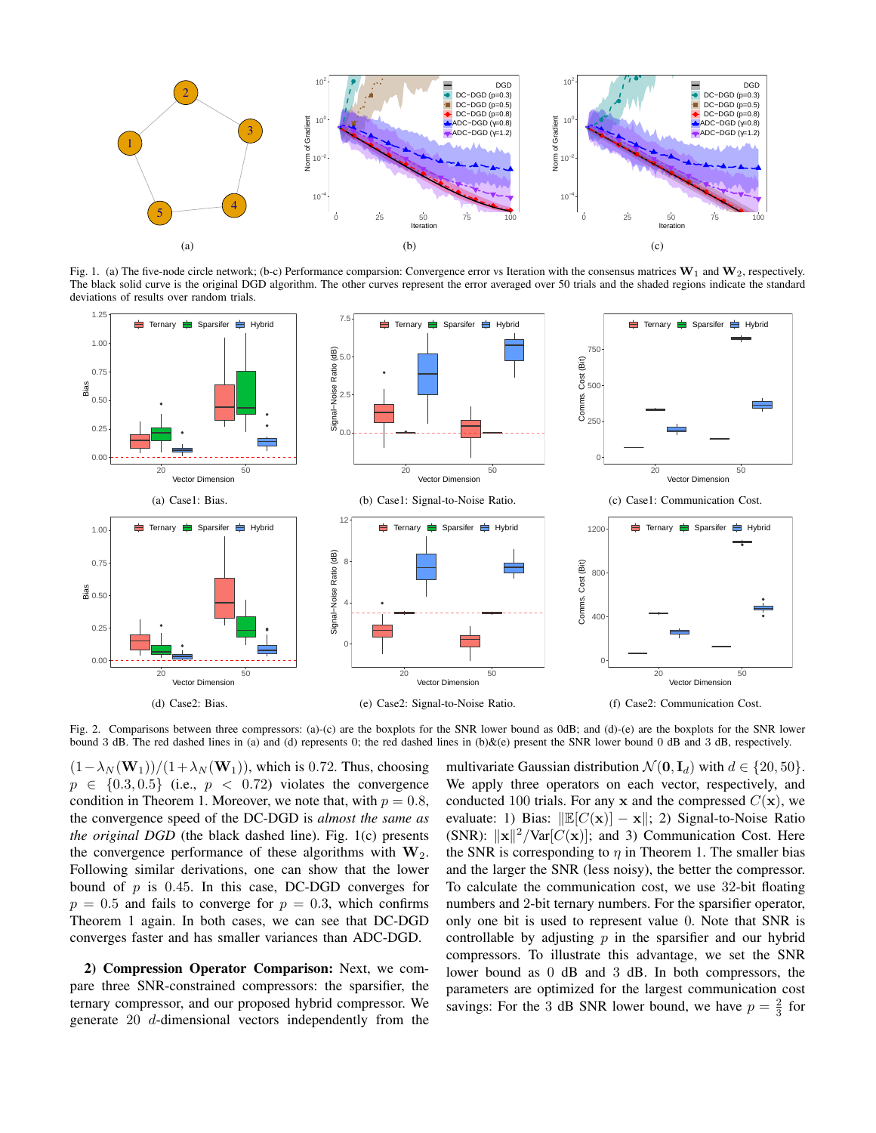

Fig. 1. (a) The five-node circle network; (b-c) Performance comparsion: Convergence error vs Iteration with the consensus matrices  $W_1$  and  $W_2$ , respectively. The black solid curve is the original DGD algorithm. The other curves represent the error averaged over 50 trials and the shaded regions indicate the standard deviations of results over random trials.



Fig. 2. Comparisons between three compressors: (a)-(c) are the boxplots for the SNR lower bound as 0dB; and (d)-(e) are the boxplots for the SNR lower bound 3 dB. The red dashed lines in (a) and (d) represents 0; the red dashed lines in (b)&(e) present the SNR lower bound 0 dB and 3 dB, respectively.

 $(1-\lambda_N(\mathbf{W}_1))/(1+\lambda_N(\mathbf{W}_1))$ , which is 0.72. Thus, choosing  $p \in \{0.3, 0.5\}$  (i.e.,  $p < 0.72$ ) violates the convergence condition in Theorem 1. Moreover, we note that, with  $p = 0.8$ , the convergence speed of the DC-DGD is *almost the same as the original DGD* (the black dashed line). Fig. 1(c) presents the convergence performance of these algorithms with  $W_2$ . Following similar derivations, one can show that the lower bound of  $p$  is 0.45. In this case, DC-DGD converges for  $p = 0.5$  and fails to converge for  $p = 0.3$ , which confirms Theorem 1 again. In both cases, we can see that DC-DGD converges faster and has smaller variances than ADC-DGD.

2) Compression Operator Comparison: Next, we compare three SNR-constrained compressors: the sparsifier, the ternary compressor, and our proposed hybrid compressor. We generate 20 d-dimensional vectors independently from the multivariate Gaussian distribution  $\mathcal{N}(\mathbf{0}, \mathbf{I}_d)$  with  $d \in \{20, 50\}.$ We apply three operators on each vector, respectively, and conducted 100 trials. For any x and the compressed  $C(\mathbf{x})$ , we evaluate: 1) Bias:  $\Vert \mathbb{E}[C(\mathbf{x})] - \mathbf{x} \Vert$ ; 2) Signal-to-Noise Ratio (SNR):  $\|\mathbf{x}\|^2/\text{Var}[C(\mathbf{x})]$ ; and 3) Communication Cost. Here the SNR is corresponding to  $\eta$  in Theorem 1. The smaller bias and the larger the SNR (less noisy), the better the compressor. To calculate the communication cost, we use 32-bit floating numbers and 2-bit ternary numbers. For the sparsifier operator, only one bit is used to represent value 0. Note that SNR is controllable by adjusting  $p$  in the sparsifier and our hybrid compressors. To illustrate this advantage, we set the SNR lower bound as 0 dB and 3 dB. In both compressors, the parameters are optimized for the largest communication cost savings: For the 3 dB SNR lower bound, we have  $p = \frac{2}{3}$  for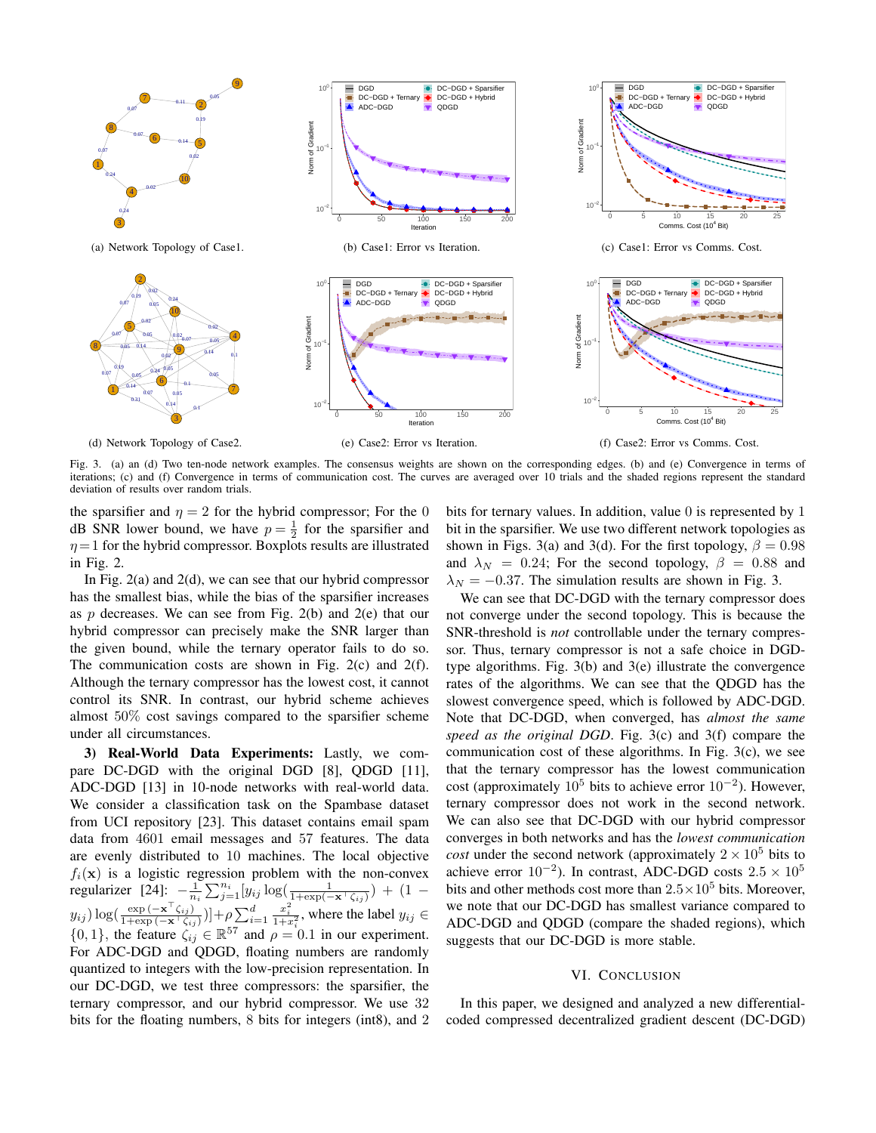

Fig. 3. (a) an (d) Two ten-node network examples. The consensus weights are shown on the corresponding edges. (b) and (e) Convergence in terms of iterations; (c) and (f) Convergence in terms of communication cost. The curves are averaged over 10 trials and the shaded regions represent the standard deviation of results over random trials.

the sparsifier and  $\eta = 2$  for the hybrid compressor; For the 0 dB SNR lower bound, we have  $p = \frac{1}{2}$  for the sparsifier and  $\eta = 1$  for the hybrid compressor. Boxplots results are illustrated in Fig. 2.

In Fig.  $2(a)$  and  $2(d)$ , we can see that our hybrid compressor has the smallest bias, while the bias of the sparsifier increases as  $p$  decreases. We can see from Fig. 2(b) and 2(e) that our hybrid compressor can precisely make the SNR larger than the given bound, while the ternary operator fails to do so. The communication costs are shown in Fig. 2(c) and 2(f). Although the ternary compressor has the lowest cost, it cannot control its SNR. In contrast, our hybrid scheme achieves almost 50% cost savings compared to the sparsifier scheme under all circumstances.

3) Real-World Data Experiments: Lastly, we compare DC-DGD with the original DGD [8], QDGD [11], ADC-DGD [13] in 10-node networks with real-world data. We consider a classification task on the Spambase dataset from UCI repository [23]. This dataset contains email spam data from 4601 email messages and 57 features. The data are evenly distributed to 10 machines. The local objective  $f_i(\mathbf{x})$  is a logistic regression problem with the non-convex regularizer [24]:  $-\frac{1}{n_i} \sum_{j=1}^{n_i} [y_{ij} \log(\frac{1}{1+\exp(-\mathbf{x}^T \zeta_{ij})}) + (1$  $y_{ij}$ ) log( $\frac{\exp(-\mathbf{x}^\top \zeta_{ij})}{1+\exp(-\mathbf{x}^\top \zeta_{ij})}$  $\frac{\exp(-\mathbf{x}^\top \zeta_{ij})}{1+\exp(-\mathbf{x}^\top \zeta_{ij})}]$  +  $\rho \sum_{i=1}^d$  $\frac{x_i^2}{1+x_i^2}$ , where the label  $y_{ij} \in$  $\{0,1\}$ , the feature  $\zeta_{ij} \in \mathbb{R}^{57}$  and  $\rho = 0.1$  in our experiment. For ADC-DGD and QDGD, floating numbers are randomly quantized to integers with the low-precision representation. In our DC-DGD, we test three compressors: the sparsifier, the ternary compressor, and our hybrid compressor. We use 32 bits for the floating numbers, 8 bits for integers (int8), and 2 bits for ternary values. In addition, value 0 is represented by 1 bit in the sparsifier. We use two different network topologies as shown in Figs. 3(a) and 3(d). For the first topology,  $\beta = 0.98$ and  $\lambda_N = 0.24$ ; For the second topology,  $\beta = 0.88$  and  $\lambda_N = -0.37$ . The simulation results are shown in Fig. 3.

We can see that DC-DGD with the ternary compressor does not converge under the second topology. This is because the SNR-threshold is *not* controllable under the ternary compressor. Thus, ternary compressor is not a safe choice in DGDtype algorithms. Fig. 3(b) and 3(e) illustrate the convergence rates of the algorithms. We can see that the QDGD has the slowest convergence speed, which is followed by ADC-DGD. Note that DC-DGD, when converged, has *almost the same speed as the original DGD*. Fig. 3(c) and 3(f) compare the communication cost of these algorithms. In Fig. 3(c), we see that the ternary compressor has the lowest communication cost (approximately  $10^5$  bits to achieve error  $10^{-2}$ ). However, ternary compressor does not work in the second network. We can also see that DC-DGD with our hybrid compressor converges in both networks and has the *lowest communication cost* under the second network (approximately  $2 \times 10^5$  bits to achieve error  $10^{-2}$ ). In contrast, ADC-DGD costs  $2.5 \times 10^5$ bits and other methods cost more than  $2.5 \times 10^5$  bits. Moreover, we note that our DC-DGD has smallest variance compared to ADC-DGD and QDGD (compare the shaded regions), which suggests that our DC-DGD is more stable.

## VI. CONCLUSION

In this paper, we designed and analyzed a new differentialcoded compressed decentralized gradient descent (DC-DGD)